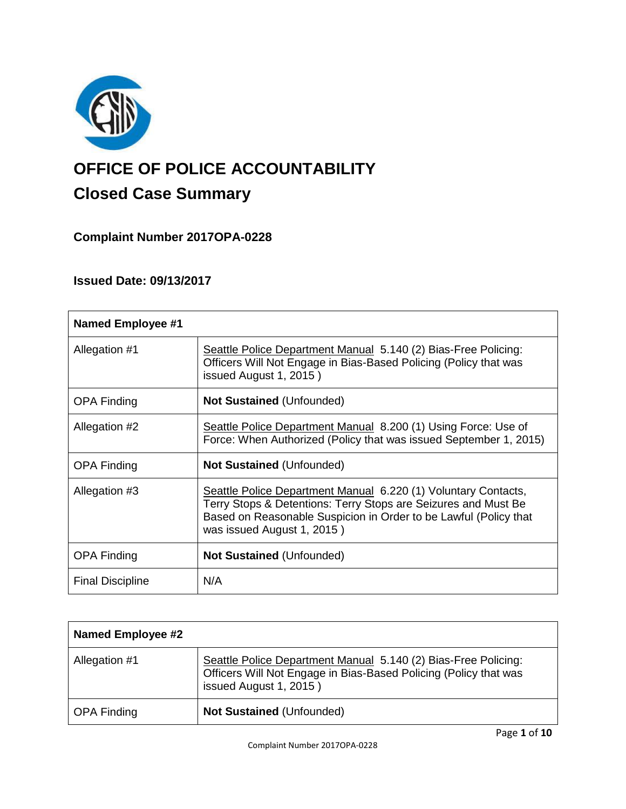

# **OFFICE OF POLICE ACCOUNTABILITY**

## **Closed Case Summary**

**Complaint Number 2017OPA-0228**

### **Issued Date: 09/13/2017**

| <b>Named Employee #1</b> |                                                                                                                                                                                                                                    |
|--------------------------|------------------------------------------------------------------------------------------------------------------------------------------------------------------------------------------------------------------------------------|
| Allegation #1            | Seattle Police Department Manual 5.140 (2) Bias-Free Policing:<br>Officers Will Not Engage in Bias-Based Policing (Policy that was<br>issued August 1, 2015)                                                                       |
| <b>OPA Finding</b>       | <b>Not Sustained (Unfounded)</b>                                                                                                                                                                                                   |
| Allegation #2            | Seattle Police Department Manual 8.200 (1) Using Force: Use of<br>Force: When Authorized (Policy that was issued September 1, 2015)                                                                                                |
| <b>OPA Finding</b>       | <b>Not Sustained (Unfounded)</b>                                                                                                                                                                                                   |
| Allegation #3            | Seattle Police Department Manual 6.220 (1) Voluntary Contacts,<br>Terry Stops & Detentions: Terry Stops are Seizures and Must Be<br>Based on Reasonable Suspicion in Order to be Lawful (Policy that<br>was issued August 1, 2015) |
| <b>OPA Finding</b>       | <b>Not Sustained (Unfounded)</b>                                                                                                                                                                                                   |
| <b>Final Discipline</b>  | N/A                                                                                                                                                                                                                                |

| <b>Named Employee #2</b> |                                                                                                                                                              |
|--------------------------|--------------------------------------------------------------------------------------------------------------------------------------------------------------|
| Allegation #1            | Seattle Police Department Manual 5.140 (2) Bias-Free Policing:<br>Officers Will Not Engage in Bias-Based Policing (Policy that was<br>issued August 1, 2015) |
| <b>OPA Finding</b>       | <b>Not Sustained (Unfounded)</b>                                                                                                                             |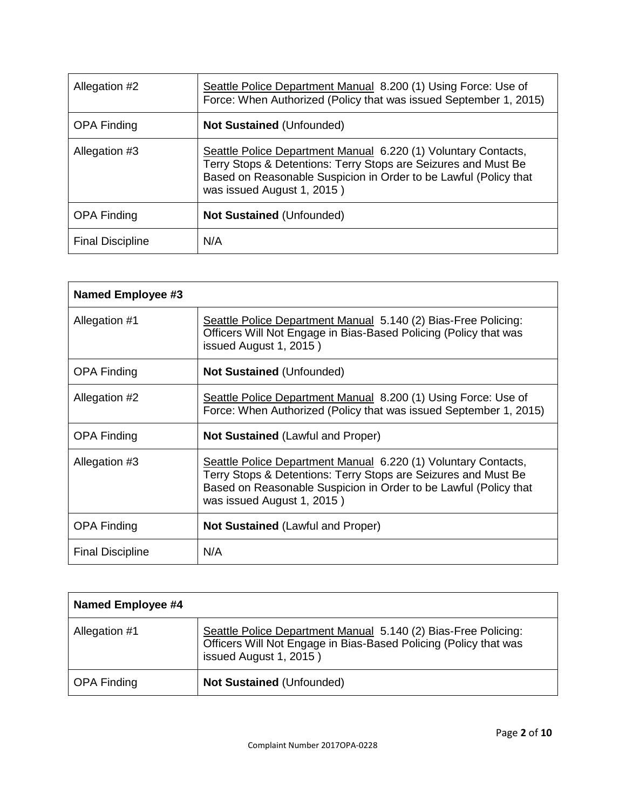| Allegation #2           | Seattle Police Department Manual 8.200 (1) Using Force: Use of<br>Force: When Authorized (Policy that was issued September 1, 2015)                                                                                                |
|-------------------------|------------------------------------------------------------------------------------------------------------------------------------------------------------------------------------------------------------------------------------|
| <b>OPA Finding</b>      | <b>Not Sustained (Unfounded)</b>                                                                                                                                                                                                   |
| Allegation #3           | Seattle Police Department Manual 6.220 (1) Voluntary Contacts,<br>Terry Stops & Detentions: Terry Stops are Seizures and Must Be<br>Based on Reasonable Suspicion in Order to be Lawful (Policy that<br>was issued August 1, 2015) |
| <b>OPA Finding</b>      | <b>Not Sustained (Unfounded)</b>                                                                                                                                                                                                   |
| <b>Final Discipline</b> | N/A                                                                                                                                                                                                                                |

| Named Employee #3       |                                                                                                                                                                                                                                    |
|-------------------------|------------------------------------------------------------------------------------------------------------------------------------------------------------------------------------------------------------------------------------|
| Allegation #1           | Seattle Police Department Manual 5.140 (2) Bias-Free Policing:<br>Officers Will Not Engage in Bias-Based Policing (Policy that was<br>issued August 1, 2015)                                                                       |
| <b>OPA Finding</b>      | <b>Not Sustained (Unfounded)</b>                                                                                                                                                                                                   |
| Allegation #2           | Seattle Police Department Manual 8.200 (1) Using Force: Use of<br>Force: When Authorized (Policy that was issued September 1, 2015)                                                                                                |
| <b>OPA Finding</b>      | <b>Not Sustained (Lawful and Proper)</b>                                                                                                                                                                                           |
| Allegation #3           | Seattle Police Department Manual 6.220 (1) Voluntary Contacts,<br>Terry Stops & Detentions: Terry Stops are Seizures and Must Be<br>Based on Reasonable Suspicion in Order to be Lawful (Policy that<br>was issued August 1, 2015) |
| <b>OPA Finding</b>      | <b>Not Sustained (Lawful and Proper)</b>                                                                                                                                                                                           |
| <b>Final Discipline</b> | N/A                                                                                                                                                                                                                                |

| Named Employee #4  |                                                                                                                                                              |
|--------------------|--------------------------------------------------------------------------------------------------------------------------------------------------------------|
| Allegation #1      | Seattle Police Department Manual 5.140 (2) Bias-Free Policing:<br>Officers Will Not Engage in Bias-Based Policing (Policy that was<br>issued August 1, 2015) |
| <b>OPA Finding</b> | Not Sustained (Unfounded)                                                                                                                                    |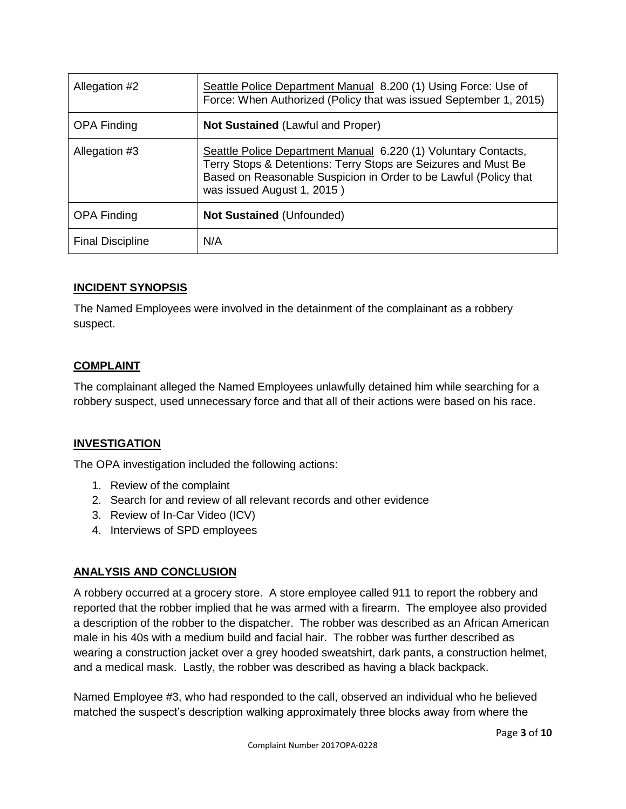| Allegation #2           | Seattle Police Department Manual 8.200 (1) Using Force: Use of<br>Force: When Authorized (Policy that was issued September 1, 2015)                                                                                                |
|-------------------------|------------------------------------------------------------------------------------------------------------------------------------------------------------------------------------------------------------------------------------|
| <b>OPA Finding</b>      | <b>Not Sustained (Lawful and Proper)</b>                                                                                                                                                                                           |
| Allegation #3           | Seattle Police Department Manual 6.220 (1) Voluntary Contacts,<br>Terry Stops & Detentions: Terry Stops are Seizures and Must Be<br>Based on Reasonable Suspicion in Order to be Lawful (Policy that<br>was issued August 1, 2015) |
| <b>OPA Finding</b>      | <b>Not Sustained (Unfounded)</b>                                                                                                                                                                                                   |
| <b>Final Discipline</b> | N/A                                                                                                                                                                                                                                |

#### **INCIDENT SYNOPSIS**

The Named Employees were involved in the detainment of the complainant as a robbery suspect.

#### **COMPLAINT**

The complainant alleged the Named Employees unlawfully detained him while searching for a robbery suspect, used unnecessary force and that all of their actions were based on his race.

#### **INVESTIGATION**

The OPA investigation included the following actions:

- 1. Review of the complaint
- 2. Search for and review of all relevant records and other evidence
- 3. Review of In-Car Video (ICV)
- 4. Interviews of SPD employees

#### **ANALYSIS AND CONCLUSION**

A robbery occurred at a grocery store. A store employee called 911 to report the robbery and reported that the robber implied that he was armed with a firearm. The employee also provided a description of the robber to the dispatcher. The robber was described as an African American male in his 40s with a medium build and facial hair. The robber was further described as wearing a construction jacket over a grey hooded sweatshirt, dark pants, a construction helmet, and a medical mask. Lastly, the robber was described as having a black backpack.

Named Employee #3, who had responded to the call, observed an individual who he believed matched the suspect's description walking approximately three blocks away from where the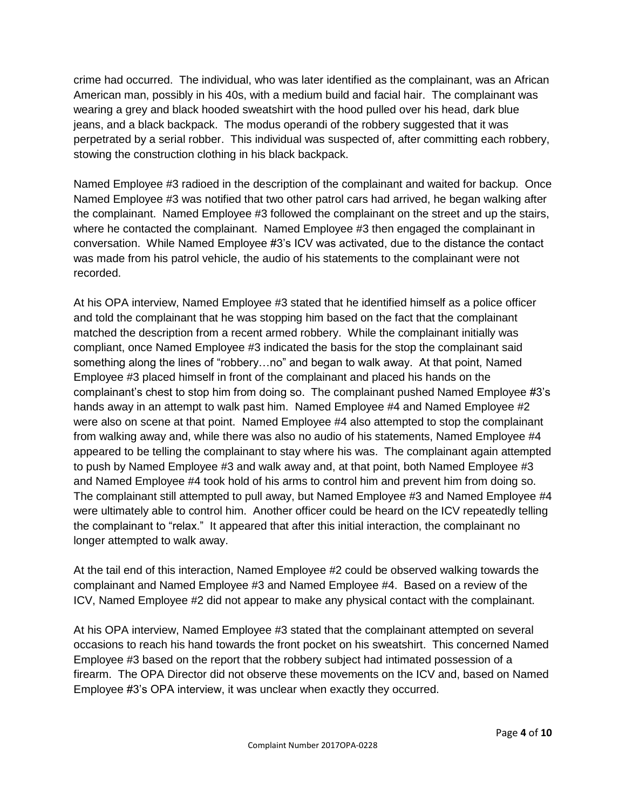crime had occurred. The individual, who was later identified as the complainant, was an African American man, possibly in his 40s, with a medium build and facial hair. The complainant was wearing a grey and black hooded sweatshirt with the hood pulled over his head, dark blue jeans, and a black backpack. The modus operandi of the robbery suggested that it was perpetrated by a serial robber. This individual was suspected of, after committing each robbery, stowing the construction clothing in his black backpack.

Named Employee #3 radioed in the description of the complainant and waited for backup. Once Named Employee #3 was notified that two other patrol cars had arrived, he began walking after the complainant. Named Employee #3 followed the complainant on the street and up the stairs, where he contacted the complainant. Named Employee #3 then engaged the complainant in conversation. While Named Employee #3's ICV was activated, due to the distance the contact was made from his patrol vehicle, the audio of his statements to the complainant were not recorded.

At his OPA interview, Named Employee #3 stated that he identified himself as a police officer and told the complainant that he was stopping him based on the fact that the complainant matched the description from a recent armed robbery. While the complainant initially was compliant, once Named Employee #3 indicated the basis for the stop the complainant said something along the lines of "robbery…no" and began to walk away. At that point, Named Employee #3 placed himself in front of the complainant and placed his hands on the complainant's chest to stop him from doing so. The complainant pushed Named Employee #3's hands away in an attempt to walk past him. Named Employee #4 and Named Employee #2 were also on scene at that point. Named Employee #4 also attempted to stop the complainant from walking away and, while there was also no audio of his statements, Named Employee #4 appeared to be telling the complainant to stay where his was. The complainant again attempted to push by Named Employee #3 and walk away and, at that point, both Named Employee #3 and Named Employee #4 took hold of his arms to control him and prevent him from doing so. The complainant still attempted to pull away, but Named Employee #3 and Named Employee #4 were ultimately able to control him. Another officer could be heard on the ICV repeatedly telling the complainant to "relax." It appeared that after this initial interaction, the complainant no longer attempted to walk away.

At the tail end of this interaction, Named Employee #2 could be observed walking towards the complainant and Named Employee #3 and Named Employee #4. Based on a review of the ICV, Named Employee #2 did not appear to make any physical contact with the complainant.

At his OPA interview, Named Employee #3 stated that the complainant attempted on several occasions to reach his hand towards the front pocket on his sweatshirt. This concerned Named Employee #3 based on the report that the robbery subject had intimated possession of a firearm. The OPA Director did not observe these movements on the ICV and, based on Named Employee #3's OPA interview, it was unclear when exactly they occurred.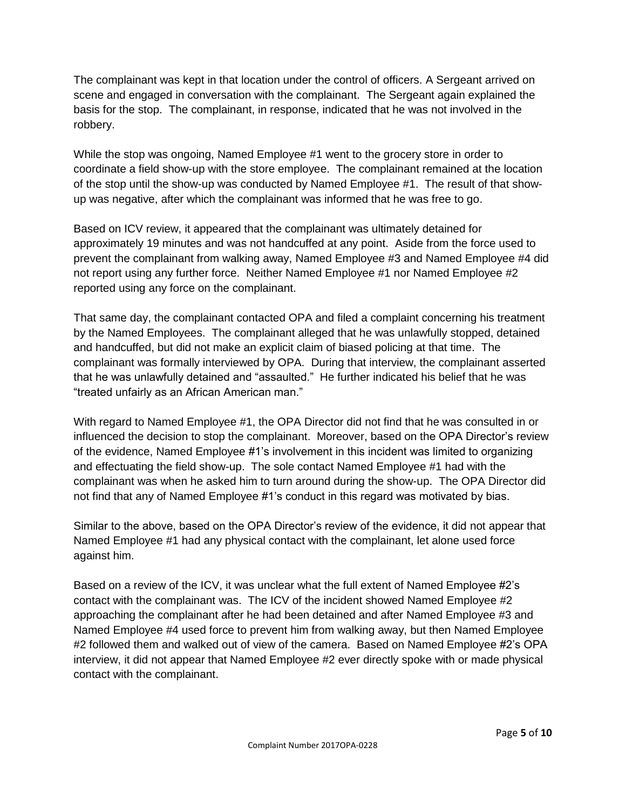The complainant was kept in that location under the control of officers. A Sergeant arrived on scene and engaged in conversation with the complainant. The Sergeant again explained the basis for the stop. The complainant, in response, indicated that he was not involved in the robbery.

While the stop was ongoing, Named Employee #1 went to the grocery store in order to coordinate a field show-up with the store employee. The complainant remained at the location of the stop until the show-up was conducted by Named Employee #1. The result of that showup was negative, after which the complainant was informed that he was free to go.

Based on ICV review, it appeared that the complainant was ultimately detained for approximately 19 minutes and was not handcuffed at any point. Aside from the force used to prevent the complainant from walking away, Named Employee #3 and Named Employee #4 did not report using any further force. Neither Named Employee #1 nor Named Employee #2 reported using any force on the complainant.

That same day, the complainant contacted OPA and filed a complaint concerning his treatment by the Named Employees. The complainant alleged that he was unlawfully stopped, detained and handcuffed, but did not make an explicit claim of biased policing at that time. The complainant was formally interviewed by OPA. During that interview, the complainant asserted that he was unlawfully detained and "assaulted." He further indicated his belief that he was "treated unfairly as an African American man."

With regard to Named Employee #1, the OPA Director did not find that he was consulted in or influenced the decision to stop the complainant. Moreover, based on the OPA Director's review of the evidence, Named Employee #1's involvement in this incident was limited to organizing and effectuating the field show-up. The sole contact Named Employee #1 had with the complainant was when he asked him to turn around during the show-up. The OPA Director did not find that any of Named Employee #1's conduct in this regard was motivated by bias.

Similar to the above, based on the OPA Director's review of the evidence, it did not appear that Named Employee #1 had any physical contact with the complainant, let alone used force against him.

Based on a review of the ICV, it was unclear what the full extent of Named Employee #2's contact with the complainant was. The ICV of the incident showed Named Employee #2 approaching the complainant after he had been detained and after Named Employee #3 and Named Employee #4 used force to prevent him from walking away, but then Named Employee #2 followed them and walked out of view of the camera. Based on Named Employee #2's OPA interview, it did not appear that Named Employee #2 ever directly spoke with or made physical contact with the complainant.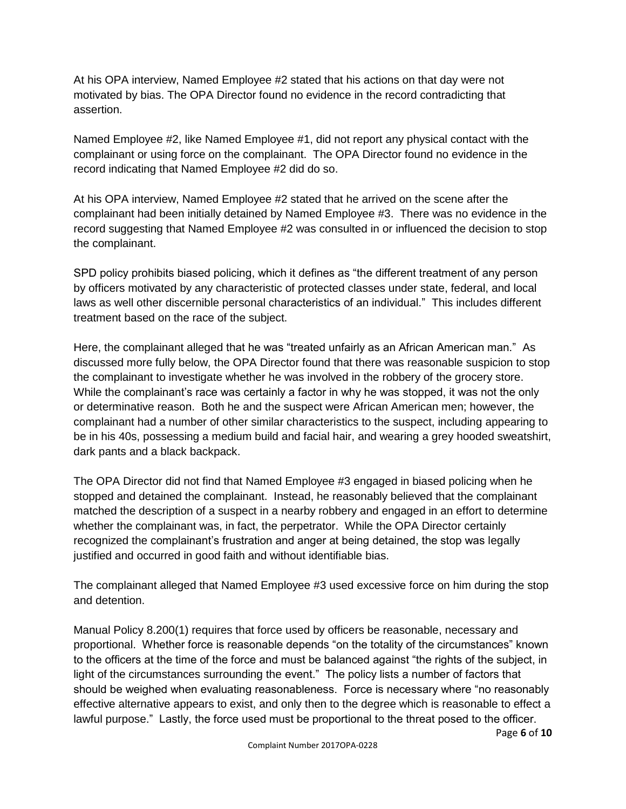At his OPA interview, Named Employee #2 stated that his actions on that day were not motivated by bias. The OPA Director found no evidence in the record contradicting that assertion.

Named Employee #2, like Named Employee #1, did not report any physical contact with the complainant or using force on the complainant. The OPA Director found no evidence in the record indicating that Named Employee #2 did do so.

At his OPA interview, Named Employee #2 stated that he arrived on the scene after the complainant had been initially detained by Named Employee #3. There was no evidence in the record suggesting that Named Employee #2 was consulted in or influenced the decision to stop the complainant.

SPD policy prohibits biased policing, which it defines as "the different treatment of any person by officers motivated by any characteristic of protected classes under state, federal, and local laws as well other discernible personal characteristics of an individual." This includes different treatment based on the race of the subject.

Here, the complainant alleged that he was "treated unfairly as an African American man." As discussed more fully below, the OPA Director found that there was reasonable suspicion to stop the complainant to investigate whether he was involved in the robbery of the grocery store. While the complainant's race was certainly a factor in why he was stopped, it was not the only or determinative reason. Both he and the suspect were African American men; however, the complainant had a number of other similar characteristics to the suspect, including appearing to be in his 40s, possessing a medium build and facial hair, and wearing a grey hooded sweatshirt, dark pants and a black backpack.

The OPA Director did not find that Named Employee #3 engaged in biased policing when he stopped and detained the complainant. Instead, he reasonably believed that the complainant matched the description of a suspect in a nearby robbery and engaged in an effort to determine whether the complainant was, in fact, the perpetrator. While the OPA Director certainly recognized the complainant's frustration and anger at being detained, the stop was legally justified and occurred in good faith and without identifiable bias.

The complainant alleged that Named Employee #3 used excessive force on him during the stop and detention.

Manual Policy 8.200(1) requires that force used by officers be reasonable, necessary and proportional. Whether force is reasonable depends "on the totality of the circumstances" known to the officers at the time of the force and must be balanced against "the rights of the subject, in light of the circumstances surrounding the event." The policy lists a number of factors that should be weighed when evaluating reasonableness. Force is necessary where "no reasonably effective alternative appears to exist, and only then to the degree which is reasonable to effect a lawful purpose." Lastly, the force used must be proportional to the threat posed to the officer.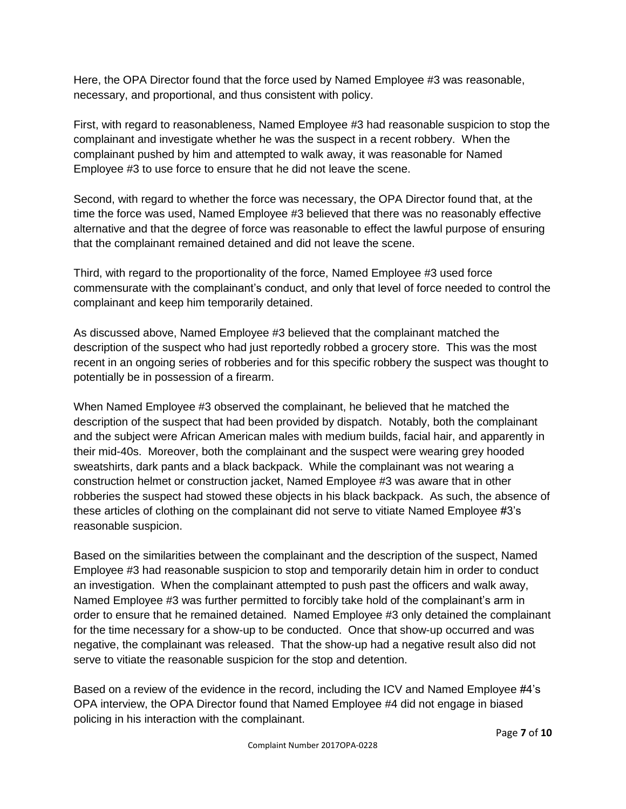Here, the OPA Director found that the force used by Named Employee #3 was reasonable, necessary, and proportional, and thus consistent with policy.

First, with regard to reasonableness, Named Employee #3 had reasonable suspicion to stop the complainant and investigate whether he was the suspect in a recent robbery. When the complainant pushed by him and attempted to walk away, it was reasonable for Named Employee #3 to use force to ensure that he did not leave the scene.

Second, with regard to whether the force was necessary, the OPA Director found that, at the time the force was used, Named Employee #3 believed that there was no reasonably effective alternative and that the degree of force was reasonable to effect the lawful purpose of ensuring that the complainant remained detained and did not leave the scene.

Third, with regard to the proportionality of the force, Named Employee #3 used force commensurate with the complainant's conduct, and only that level of force needed to control the complainant and keep him temporarily detained.

As discussed above, Named Employee #3 believed that the complainant matched the description of the suspect who had just reportedly robbed a grocery store. This was the most recent in an ongoing series of robberies and for this specific robbery the suspect was thought to potentially be in possession of a firearm.

When Named Employee #3 observed the complainant, he believed that he matched the description of the suspect that had been provided by dispatch. Notably, both the complainant and the subject were African American males with medium builds, facial hair, and apparently in their mid-40s. Moreover, both the complainant and the suspect were wearing grey hooded sweatshirts, dark pants and a black backpack. While the complainant was not wearing a construction helmet or construction jacket, Named Employee #3 was aware that in other robberies the suspect had stowed these objects in his black backpack. As such, the absence of these articles of clothing on the complainant did not serve to vitiate Named Employee #3's reasonable suspicion.

Based on the similarities between the complainant and the description of the suspect, Named Employee #3 had reasonable suspicion to stop and temporarily detain him in order to conduct an investigation. When the complainant attempted to push past the officers and walk away, Named Employee #3 was further permitted to forcibly take hold of the complainant's arm in order to ensure that he remained detained. Named Employee #3 only detained the complainant for the time necessary for a show-up to be conducted. Once that show-up occurred and was negative, the complainant was released. That the show-up had a negative result also did not serve to vitiate the reasonable suspicion for the stop and detention.

Based on a review of the evidence in the record, including the ICV and Named Employee #4's OPA interview, the OPA Director found that Named Employee #4 did not engage in biased policing in his interaction with the complainant.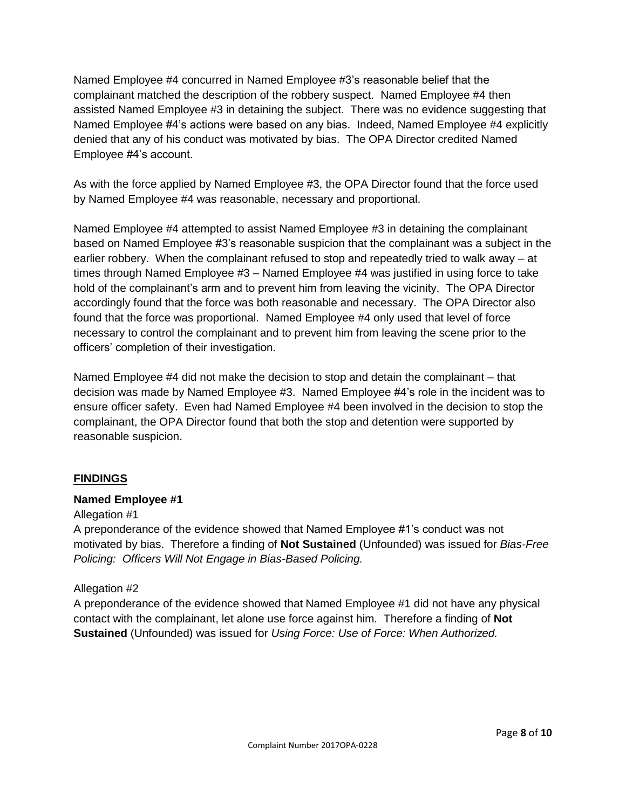Named Employee #4 concurred in Named Employee #3's reasonable belief that the complainant matched the description of the robbery suspect. Named Employee #4 then assisted Named Employee #3 in detaining the subject. There was no evidence suggesting that Named Employee #4's actions were based on any bias. Indeed, Named Employee #4 explicitly denied that any of his conduct was motivated by bias. The OPA Director credited Named Employee #4's account.

As with the force applied by Named Employee #3, the OPA Director found that the force used by Named Employee #4 was reasonable, necessary and proportional.

Named Employee #4 attempted to assist Named Employee #3 in detaining the complainant based on Named Employee #3's reasonable suspicion that the complainant was a subject in the earlier robbery. When the complainant refused to stop and repeatedly tried to walk away – at times through Named Employee #3 – Named Employee #4 was justified in using force to take hold of the complainant's arm and to prevent him from leaving the vicinity. The OPA Director accordingly found that the force was both reasonable and necessary. The OPA Director also found that the force was proportional. Named Employee #4 only used that level of force necessary to control the complainant and to prevent him from leaving the scene prior to the officers' completion of their investigation.

Named Employee #4 did not make the decision to stop and detain the complainant – that decision was made by Named Employee #3. Named Employee #4's role in the incident was to ensure officer safety. Even had Named Employee #4 been involved in the decision to stop the complainant, the OPA Director found that both the stop and detention were supported by reasonable suspicion.

#### **FINDINGS**

#### **Named Employee #1**

#### Allegation #1

A preponderance of the evidence showed that Named Employee #1's conduct was not motivated by bias. Therefore a finding of **Not Sustained** (Unfounded) was issued for *Bias-Free Policing: Officers Will Not Engage in Bias-Based Policing.*

#### Allegation #2

A preponderance of the evidence showed that Named Employee #1 did not have any physical contact with the complainant, let alone use force against him. Therefore a finding of **Not Sustained** (Unfounded) was issued for *Using Force: Use of Force: When Authorized.*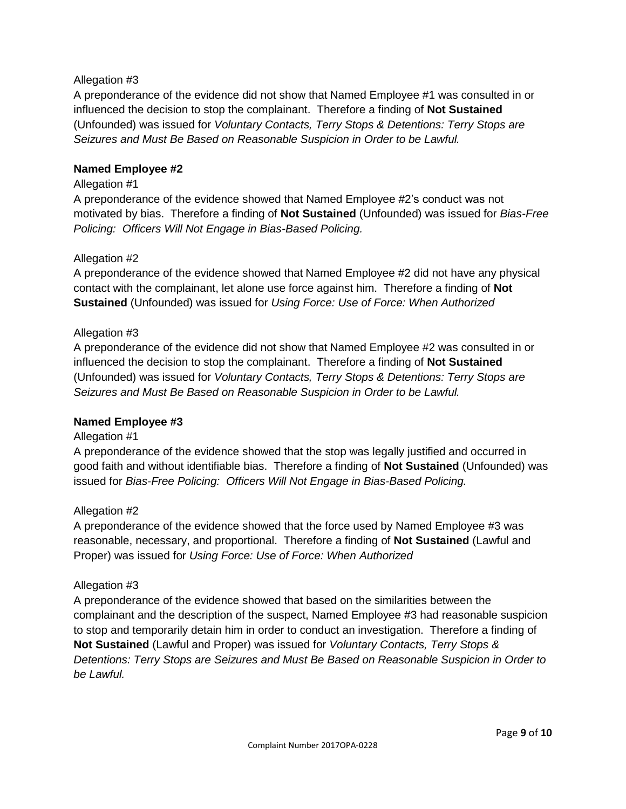#### Allegation #3

A preponderance of the evidence did not show that Named Employee #1 was consulted in or influenced the decision to stop the complainant. Therefore a finding of **Not Sustained** (Unfounded) was issued for *Voluntary Contacts, Terry Stops & Detentions: Terry Stops are Seizures and Must Be Based on Reasonable Suspicion in Order to be Lawful.*

#### **Named Employee #2**

#### Allegation #1

A preponderance of the evidence showed that Named Employee #2's conduct was not motivated by bias. Therefore a finding of **Not Sustained** (Unfounded) was issued for *Bias-Free Policing: Officers Will Not Engage in Bias-Based Policing.*

#### Allegation #2

A preponderance of the evidence showed that Named Employee #2 did not have any physical contact with the complainant, let alone use force against him. Therefore a finding of **Not Sustained** (Unfounded) was issued for *Using Force: Use of Force: When Authorized*

#### Allegation #3

A preponderance of the evidence did not show that Named Employee #2 was consulted in or influenced the decision to stop the complainant. Therefore a finding of **Not Sustained** (Unfounded) was issued for *Voluntary Contacts, Terry Stops & Detentions: Terry Stops are Seizures and Must Be Based on Reasonable Suspicion in Order to be Lawful.*

#### **Named Employee #3**

#### Allegation #1

A preponderance of the evidence showed that the stop was legally justified and occurred in good faith and without identifiable bias. Therefore a finding of **Not Sustained** (Unfounded) was issued for *Bias-Free Policing: Officers Will Not Engage in Bias-Based Policing.*

#### Allegation #2

A preponderance of the evidence showed that the force used by Named Employee #3 was reasonable, necessary, and proportional. Therefore a finding of **Not Sustained** (Lawful and Proper) was issued for *Using Force: Use of Force: When Authorized*

#### Allegation #3

A preponderance of the evidence showed that based on the similarities between the complainant and the description of the suspect, Named Employee #3 had reasonable suspicion to stop and temporarily detain him in order to conduct an investigation. Therefore a finding of **Not Sustained** (Lawful and Proper) was issued for *Voluntary Contacts, Terry Stops & Detentions: Terry Stops are Seizures and Must Be Based on Reasonable Suspicion in Order to be Lawful.*